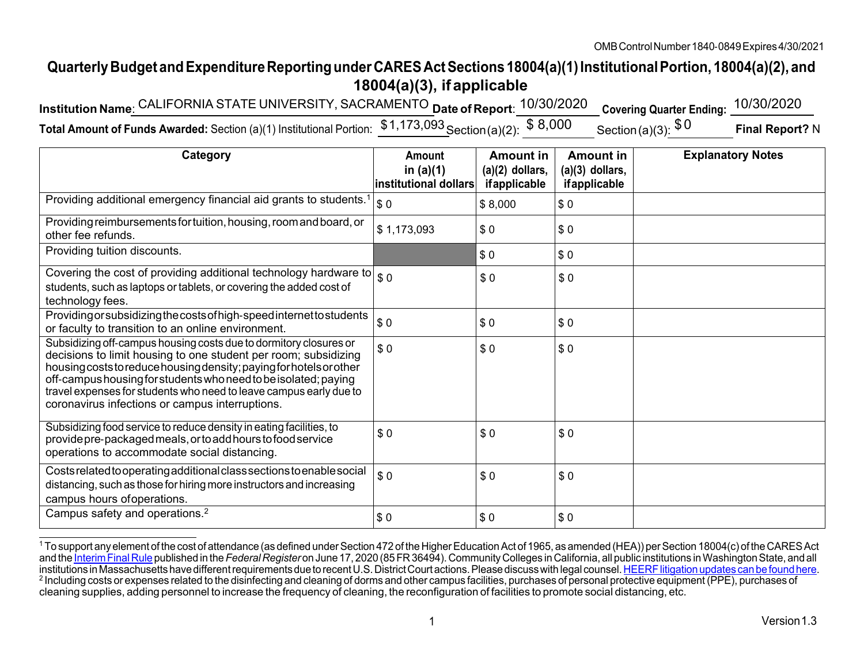## **QuarterlyBudget andExpenditureReportingunderCARESActSections18004(a)(1)InstitutionalPortion,18004(a)(2), and 18004(a)(3), if applicable**

| Institution Name: CALIFORNIA STATE UNIVERSITY, SACRAMENTO Date of Report: 10/30/2020 Covering Quarter Ending: 10/30/2020                    |  |                 |
|---------------------------------------------------------------------------------------------------------------------------------------------|--|-----------------|
| Total Amount of Funds Awarded: Section (a)(1) Institutional Portion: $\frac{$1,173,093}{2}$ Section(a)(2): $\$$ 8,000 Section(a)(3): $\$$ 0 |  | Final Report? N |

| Category                                                                                                                                                                                                                                                                                                                                                                                                | <b>Amount</b><br>in $(a)(1)$<br>institutional dollars | <b>Amount in</b><br>$(a)(2)$ dollars,<br>ifapplicable | <b>Amount in</b><br>$(a)(3)$ dollars,<br>ifapplicable | <b>Explanatory Notes</b> |
|---------------------------------------------------------------------------------------------------------------------------------------------------------------------------------------------------------------------------------------------------------------------------------------------------------------------------------------------------------------------------------------------------------|-------------------------------------------------------|-------------------------------------------------------|-------------------------------------------------------|--------------------------|
| Providing additional emergency financial aid grants to students.                                                                                                                                                                                                                                                                                                                                        | \$0                                                   | \$8,000                                               | \$0                                                   |                          |
| Providing reimbursements for tuition, housing, room and board, or<br>other fee refunds.                                                                                                                                                                                                                                                                                                                 | \$1,173,093                                           | \$0                                                   | \$0                                                   |                          |
| Providing tuition discounts.                                                                                                                                                                                                                                                                                                                                                                            |                                                       | \$0                                                   | \$0                                                   |                          |
| Covering the cost of providing additional technology hardware to $\int_{\$}$ 0<br>students, such as laptops or tablets, or covering the added cost of<br>technology fees.                                                                                                                                                                                                                               |                                                       | \$0                                                   | \$0                                                   |                          |
| Providing or subsidizing the costs of high-speed internet to students<br>or faculty to transition to an online environment.                                                                                                                                                                                                                                                                             | \$0                                                   | \$0                                                   | \$0                                                   |                          |
| Subsidizing off-campus housing costs due to dormitory closures or<br>decisions to limit housing to one student per room; subsidizing<br>housing costs to reduce housing density; paying for hotels or other<br>off-campus housing for students who need to be isolated; paying<br>travel expenses for students who need to leave campus early due to<br>coronavirus infections or campus interruptions. | \$0                                                   | \$0                                                   | \$0                                                   |                          |
| Subsidizing food service to reduce density in eating facilities, to<br>provide pre-packaged meals, or to add hours to food service<br>operations to accommodate social distancing.                                                                                                                                                                                                                      | \$0                                                   | \$0                                                   | \$0                                                   |                          |
| Costs related to operating additional class sections to enable social<br>distancing, such as those for hiring more instructors and increasing<br>campus hours of operations.                                                                                                                                                                                                                            | \$0                                                   | \$0                                                   | \$0                                                   |                          |
| Campus safety and operations. <sup>2</sup>                                                                                                                                                                                                                                                                                                                                                              | \$0                                                   | \$0                                                   | \$0                                                   |                          |

<sup>&</sup>lt;sup>1</sup> To support any element of the cost of attendance (as defined under Section 472 of the Higher Education Act of 1965, as amended (HEA)) per Section 18004(c) of the CARES Act and the <u>Interim Final Rule</u> published in the *Federal Register* on June 17, 2020 (85 FR 36494). Community Colleges in California, all public institutions in Washington State, and all<br>institutions in Massachusetts have dif <sup>2</sup> Including costs or expenses related to the disinfecting and cleaning of dorms and other campus facilities, purchases of personal protective equipment (PPE), purchases of cleaning supplies, adding personnel to increase the frequency of cleaning, the reconfiguration of facilities to promote social distancing, etc.